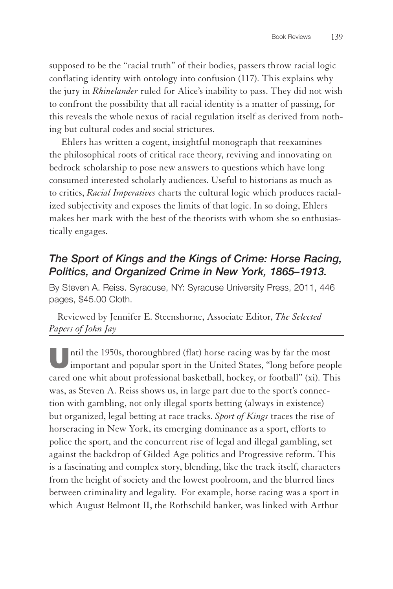supposed to be the "racial truth" of their bodies, passers throw racial logic conflating identity with ontology into confusion (117). This explains why the jury in *Rhinelander* ruled for Alice's inability to pass. They did not wish to confront the possibility that all racial identity is a matter of passing, for this reveals the whole nexus of racial regulation itself as derived from nothing but cultural codes and social strictures.

Ehlers has written a cogent, insightful monograph that reexamines the philosophical roots of critical race theory, reviving and innovating on bedrock scholarship to pose new answers to questions which have long consumed interested scholarly audiences. Useful to historians as much as to critics, *Racial Imperatives* charts the cultural logic which produces racialized subjectivity and exposes the limits of that logic. In so doing, Ehlers makes her mark with the best of the theorists with whom she so enthusiastically engages.

## *The Sport of Kings and the Kings of Crime: Horse Racing, Politics, and Organized Crime in New York, 1865–1913.*

By Steven A. Reiss. Syracuse, NY: Syracuse University Press, 2011, 446 pages, \$45.00 Cloth.

Reviewed by Jennifer E. Steenshorne, Associate Editor, *The Selected Papers of John Jay*

Until the 1950s, thoroughbred (flat) horse racing was by far the most important and popular sport in the United States, "long before people cared one whit about professional basketball, hockey, or football" (xi). This was, as Steven A. Reiss shows us, in large part due to the sport's connection with gambling, not only illegal sports betting (always in existence) but organized, legal betting at race tracks. *Sport of Kings* traces the rise of horseracing in New York, its emerging dominance as a sport, efforts to police the sport, and the concurrent rise of legal and illegal gambling, set against the backdrop of Gilded Age politics and Progressive reform. This is a fascinating and complex story, blending, like the track itself, characters from the height of society and the lowest poolroom, and the blurred lines between criminality and legality. For example, horse racing was a sport in which August Belmont II, the Rothschild banker, was linked with Arthur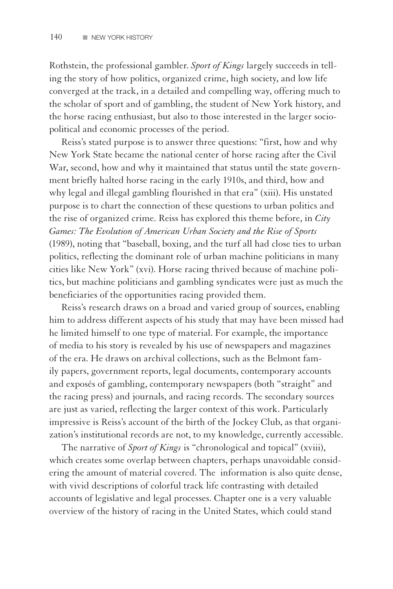Rothstein, the professional gambler. *Sport of Kings* largely succeeds in telling the story of how politics, organized crime, high society, and low life converged at the track, in a detailed and compelling way, offering much to the scholar of sport and of gambling, the student of New York history, and the horse racing enthusiast, but also to those interested in the larger sociopolitical and economic processes of the period.

Reiss's stated purpose is to answer three questions: "first, how and why New York State became the national center of horse racing after the Civil War, second, how and why it maintained that status until the state government briefly halted horse racing in the early 1910s, and third, how and why legal and illegal gambling flourished in that era" (xiii). His unstated purpose is to chart the connection of these questions to urban politics and the rise of organized crime. Reiss has explored this theme before, in *City Games: The Evolution of American Urban Society and the Rise of Sports* (1989), noting that "baseball, boxing, and the turf all had close ties to urban politics, reflecting the dominant role of urban machine politicians in many cities like New York" (xvi). Horse racing thrived because of machine politics, but machine politicians and gambling syndicates were just as much the beneficiaries of the opportunities racing provided them.

Reiss's research draws on a broad and varied group of sources, enabling him to address different aspects of his study that may have been missed had he limited himself to one type of material. For example, the importance of media to his story is revealed by his use of newspapers and magazines of the era. He draws on archival collections, such as the Belmont family papers, government reports, legal documents, contemporary accounts and exposés of gambling, contemporary newspapers (both "straight" and the racing press) and journals, and racing records. The secondary sources are just as varied, reflecting the larger context of this work. Particularly impressive is Reiss's account of the birth of the Jockey Club, as that organization's institutional records are not, to my knowledge, currently accessible.

The narrative of *Sport of Kings* is "chronological and topical" (xviii), which creates some overlap between chapters, perhaps unavoidable considering the amount of material covered. The information is also quite dense, with vivid descriptions of colorful track life contrasting with detailed accounts of legislative and legal processes. Chapter one is a very valuable overview of the history of racing in the United States, which could stand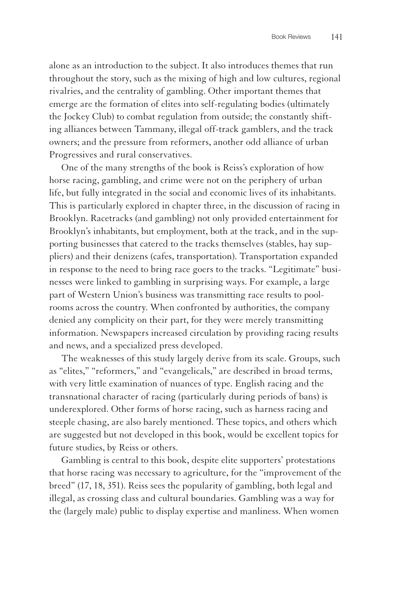alone as an introduction to the subject. It also introduces themes that run throughout the story, such as the mixing of high and low cultures, regional rivalries, and the centrality of gambling. Other important themes that emerge are the formation of elites into self-regulating bodies (ultimately the Jockey Club) to combat regulation from outside; the constantly shifting alliances between Tammany, illegal off-track gamblers, and the track owners; and the pressure from reformers, another odd alliance of urban Progressives and rural conservatives.

One of the many strengths of the book is Reiss's exploration of how horse racing, gambling, and crime were not on the periphery of urban life, but fully integrated in the social and economic lives of its inhabitants. This is particularly explored in chapter three, in the discussion of racing in Brooklyn. Racetracks (and gambling) not only provided entertainment for Brooklyn's inhabitants, but employment, both at the track, and in the supporting businesses that catered to the tracks themselves (stables, hay suppliers) and their denizens (cafes, transportation). Transportation expanded in response to the need to bring race goers to the tracks. "Legitimate" businesses were linked to gambling in surprising ways. For example, a large part of Western Union's business was transmitting race results to poolrooms across the country. When confronted by authorities, the company denied any complicity on their part, for they were merely transmitting information. Newspapers increased circulation by providing racing results and news, and a specialized press developed.

The weaknesses of this study largely derive from its scale. Groups, such as "elites," "reformers," and "evangelicals," are described in broad terms, with very little examination of nuances of type. English racing and the transnational character of racing (particularly during periods of bans) is underexplored. Other forms of horse racing, such as harness racing and steeple chasing, are also barely mentioned. These topics, and others which are suggested but not developed in this book, would be excellent topics for future studies, by Reiss or others.

Gambling is central to this book, despite elite supporters' protestations that horse racing was necessary to agriculture, for the "improvement of the breed" (17, 18, 351). Reiss sees the popularity of gambling, both legal and illegal, as crossing class and cultural boundaries. Gambling was a way for the (largely male) public to display expertise and manliness. When women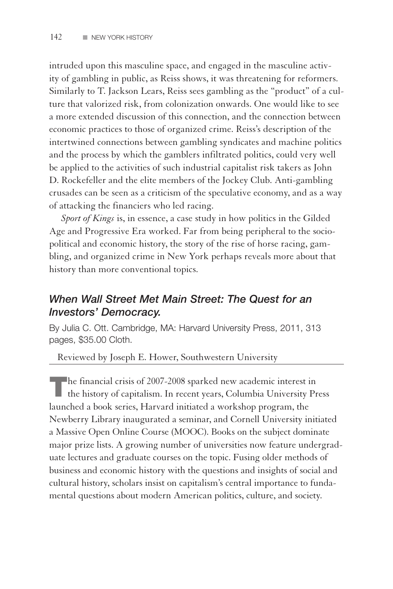intruded upon this masculine space, and engaged in the masculine activity of gambling in public, as Reiss shows, it was threatening for reformers. Similarly to T. Jackson Lears, Reiss sees gambling as the "product" of a culture that valorized risk, from colonization onwards. One would like to see a more extended discussion of this connection, and the connection between economic practices to those of organized crime. Reiss's description of the intertwined connections between gambling syndicates and machine politics and the process by which the gamblers infiltrated politics, could very well be applied to the activities of such industrial capitalist risk takers as John D. Rockefeller and the elite members of the Jockey Club. Anti-gambling crusades can be seen as a criticism of the speculative economy, and as a way of attacking the financiers who led racing.

*Sport of Kings* is, in essence, a case study in how politics in the Gilded Age and Progressive Era worked. Far from being peripheral to the sociopolitical and economic history, the story of the rise of horse racing, gambling, and organized crime in New York perhaps reveals more about that history than more conventional topics.

## *When Wall Street Met Main Street: The Quest for an Investors' Democracy.*

By Julia C. Ott. Cambridge, MA: Harvard University Press, 2011, 313 pages, \$35.00 Cloth.

Reviewed by Joseph E. Hower, Southwestern University

The financial crisis of 2007-2008 sparked new academic interest in the history of capitalism. In recent years, Columbia University Press launched a book series, Harvard initiated a workshop program, the Newberry Library inaugurated a seminar, and Cornell University initiated a Massive Open Online Course (MOOC). Books on the subject dominate major prize lists. A growing number of universities now feature undergraduate lectures and graduate courses on the topic. Fusing older methods of business and economic history with the questions and insights of social and cultural history, scholars insist on capitalism's central importance to fundamental questions about modern American politics, culture, and society.